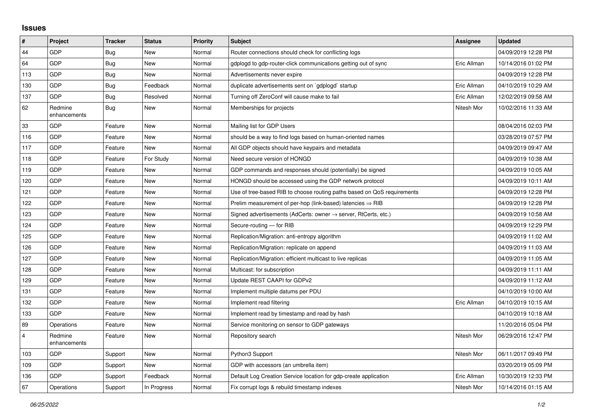## **Issues**

| #              | Project                 | <b>Tracker</b> | <b>Status</b> | <b>Priority</b> | <b>Subject</b>                                                             | <b>Assignee</b> | <b>Updated</b>      |
|----------------|-------------------------|----------------|---------------|-----------------|----------------------------------------------------------------------------|-----------------|---------------------|
| 44             | GDP                     | <b>Bug</b>     | <b>New</b>    | Normal          | Router connections should check for conflicting logs                       |                 | 04/09/2019 12:28 PM |
| 64             | GDP                     | Bug            | <b>New</b>    | Normal          | gdplogd to gdp-router-click communications getting out of sync             | Eric Allman     | 10/14/2016 01:02 PM |
| 113            | GDP                     | Bug            | <b>New</b>    | Normal          | Advertisements never expire                                                |                 | 04/09/2019 12:28 PM |
| 130            | GDP                     | Bug            | Feedback      | Normal          | duplicate advertisements sent on `gdplogd` startup                         | Eric Allman     | 04/10/2019 10:29 AM |
| 137            | GDP                     | Bug            | Resolved      | Normal          | Turning off ZeroConf will cause make to fail                               | Eric Allman     | 12/02/2019 09:58 AM |
| 62             | Redmine<br>enhancements | <b>Bug</b>     | <b>New</b>    | Normal          | Memberships for projects                                                   | Nitesh Mor      | 10/02/2016 11:33 AM |
| 33             | GDP                     | Feature        | <b>New</b>    | Normal          | Mailing list for GDP Users                                                 |                 | 08/04/2016 02:03 PM |
| 116            | GDP                     | Feature        | New           | Normal          | should be a way to find logs based on human-oriented names                 |                 | 03/28/2019 07:57 PM |
| 117            | <b>GDP</b>              | Feature        | <b>New</b>    | Normal          | All GDP objects should have keypairs and metadata                          |                 | 04/09/2019 09:47 AM |
| 118            | GDP                     | Feature        | For Study     | Normal          | Need secure version of HONGD                                               |                 | 04/09/2019 10:38 AM |
| 119            | GDP                     | Feature        | New           | Normal          | GDP commands and responses should (potentially) be signed                  |                 | 04/09/2019 10:05 AM |
| 120            | GDP                     | Feature        | <b>New</b>    | Normal          | HONGD should be accessed using the GDP network protocol                    |                 | 04/09/2019 10:11 AM |
| 121            | GDP                     | Feature        | <b>New</b>    | Normal          | Use of tree-based RIB to choose routing paths based on QoS requirements    |                 | 04/09/2019 12:28 PM |
| 122            | GDP                     | Feature        | New           | Normal          | Prelim measurement of per-hop (link-based) latencies $\Rightarrow$ RIB     |                 | 04/09/2019 12:28 PM |
| 123            | GDP                     | Feature        | <b>New</b>    | Normal          | Signed advertisements (AdCerts: owner $\rightarrow$ server, RtCerts, etc.) |                 | 04/09/2019 10:58 AM |
| 124            | GDP                     | Feature        | <b>New</b>    | Normal          | Secure-routing - for RIB                                                   |                 | 04/09/2019 12:29 PM |
| 125            | GDP                     | Feature        | New           | Normal          | Replication/Migration: anti-entropy algorithm                              |                 | 04/09/2019 11:02 AM |
| 126            | GDP                     | Feature        | <b>New</b>    | Normal          | Replication/Migration: replicate on append                                 |                 | 04/09/2019 11:03 AM |
| 127            | GDP                     | Feature        | <b>New</b>    | Normal          | Replication/Migration: efficient multicast to live replicas                |                 | 04/09/2019 11:05 AM |
| 128            | GDP                     | Feature        | New           | Normal          | Multicast: for subscription                                                |                 | 04/09/2019 11:11 AM |
| 129            | GDP                     | Feature        | <b>New</b>    | Normal          | Update REST CAAPI for GDPv2                                                |                 | 04/09/2019 11:12 AM |
| 131            | GDP                     | Feature        | <b>New</b>    | Normal          | Implement multiple datums per PDU                                          |                 | 04/10/2019 10:00 AM |
| 132            | GDP                     | Feature        | New           | Normal          | Implement read filtering                                                   | Eric Allman     | 04/10/2019 10:15 AM |
| 133            | GDP                     | Feature        | <b>New</b>    | Normal          | Implement read by timestamp and read by hash                               |                 | 04/10/2019 10:18 AM |
| 89             | Operations              | Feature        | <b>New</b>    | Normal          | Service monitoring on sensor to GDP gateways                               |                 | 11/20/2016 05:04 PM |
| $\overline{4}$ | Redmine<br>enhancements | Feature        | New           | Normal          | Repository search                                                          | Nitesh Mor      | 06/29/2016 12:47 PM |
| 103            | GDP                     | Support        | <b>New</b>    | Normal          | Python3 Support                                                            | Nitesh Mor      | 06/11/2017 09:49 PM |
| 109            | GDP                     | Support        | New           | Normal          | GDP with accessors (an umbrella item)                                      |                 | 03/20/2019 05:09 PM |
| 136            | GDP                     | Support        | Feedback      | Normal          | Default Log Creation Service location for gdp-create application           | Eric Allman     | 10/30/2019 12:33 PM |
| 67             | Operations              | Support        | In Progress   | Normal          | Fix corrupt logs & rebuild timestamp indexes                               | Nitesh Mor      | 10/14/2016 01:15 AM |